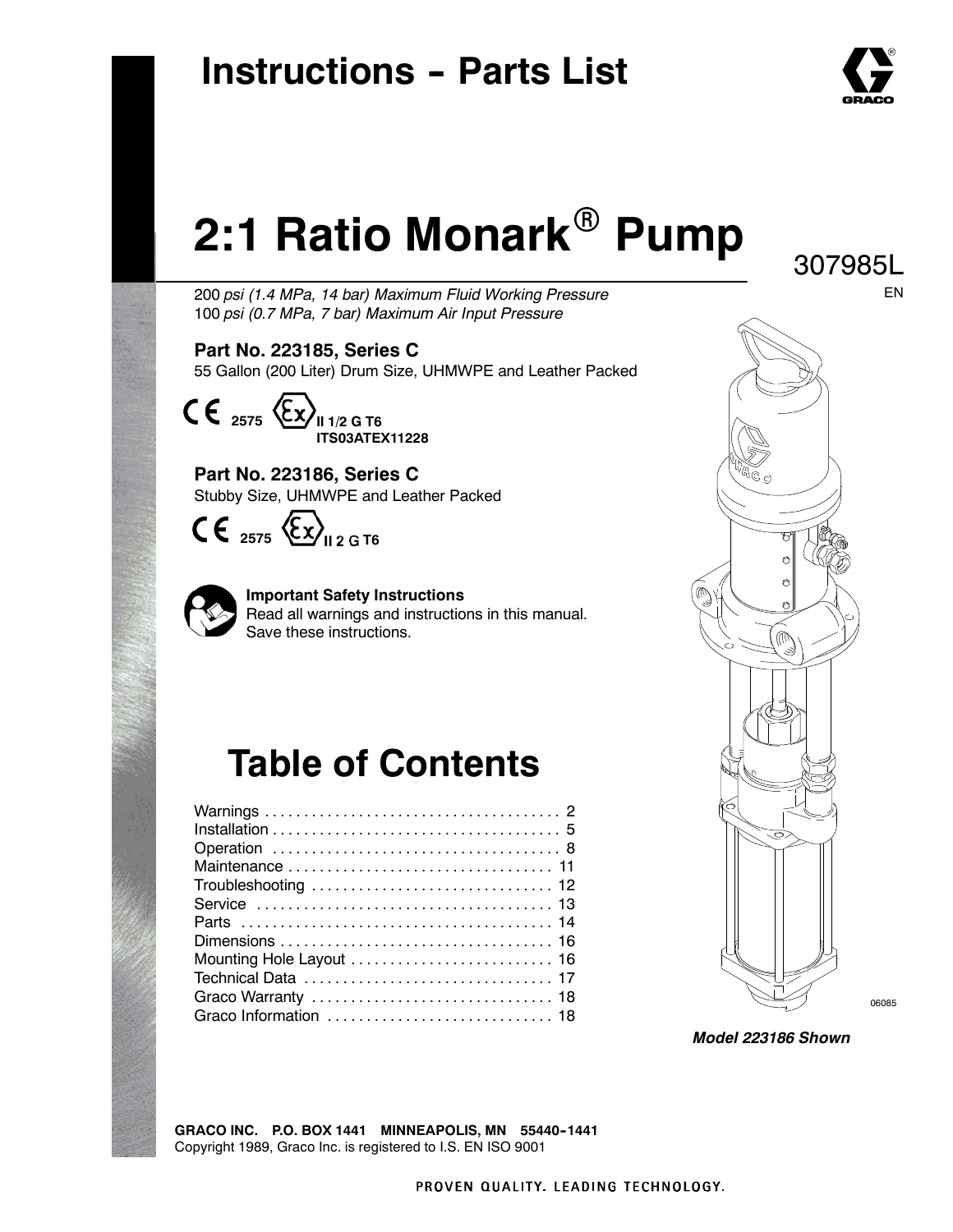# **Instructions - Parts List**



307985L

EN

# **2:1 Ratio Monark<sup>®</sup> Pump**

200 *psi (1.4 MPa, 14 bar) Maximum Fluid Working Pressure* 100 *psi (0.7 MPa, 7 bar) Maximum Air Input Pressure*

**Part No. 223185, Series C** 55 Gallon (200 Liter) Drum Size, UHMWPE and Leather Packed



**Part No. 223186, Series C** Stubby Size, UHMWPE and Leather Packed

 $\mathsf{CE}_{2575} \times \mathsf{Ex}_{12 \text{ G}76}$ 



**Important Safety Instructions** Read all warnings and instructions in this manual. Save these instructions.

# **Table of Contents**

| Troubleshooting  12   |
|-----------------------|
|                       |
|                       |
|                       |
|                       |
|                       |
|                       |
| Graco Information  18 |
|                       |



*Model 223186 Shown*

**GRACO INC. P.O. BOX 1441 MINNEAPOLIS, MN 55440--1441** Copyright 1989, Graco Inc. is registered to I.S. EN ISO 9001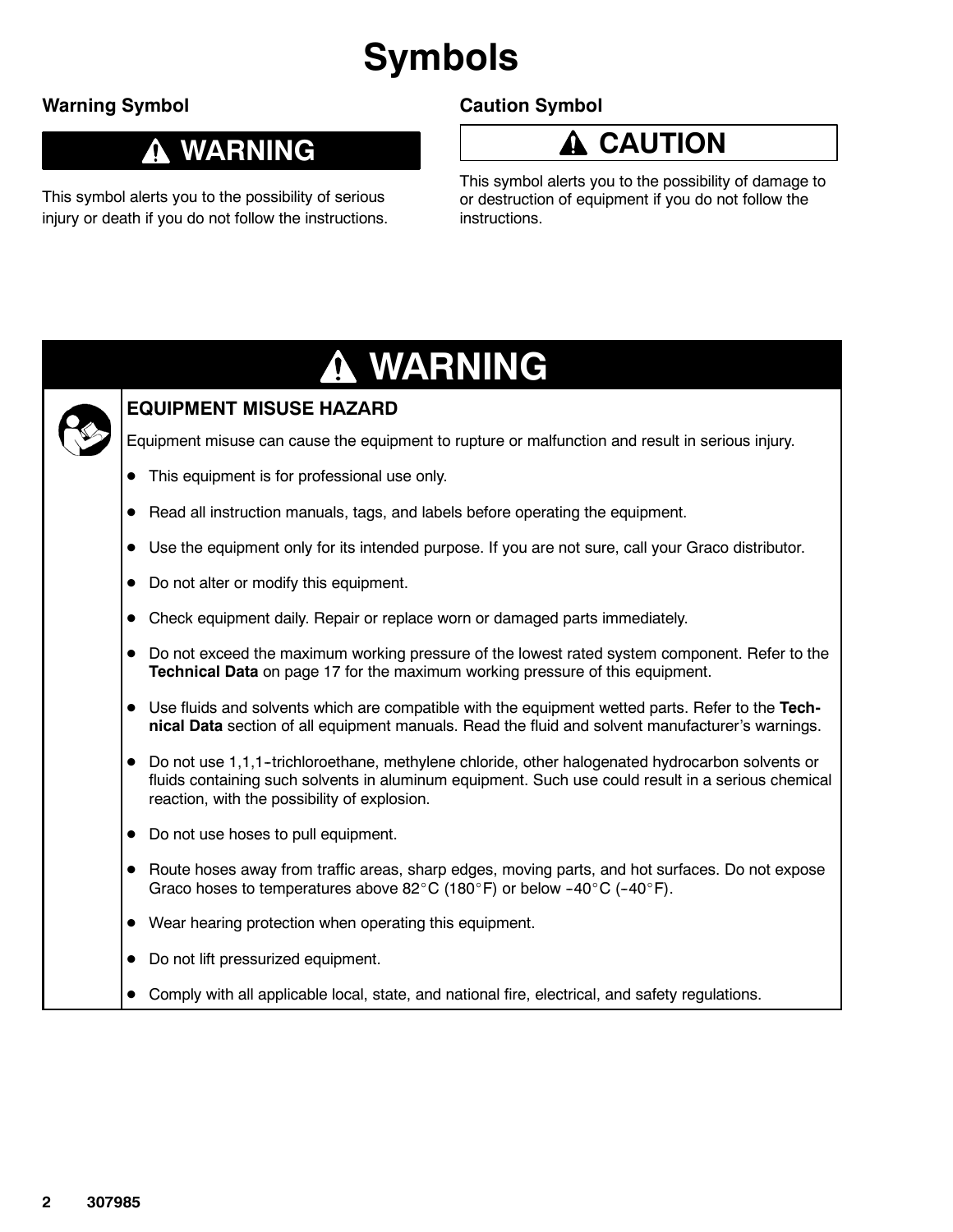# **Symbols**

### **Warning Symbol**

### **Caution Symbol**

### **WARNING**

This symbol alerts you to the possibility of serious injury or death if you do not follow the instructions. **CAUTION**

This symbol alerts you to the possibility of damage to or destruction of equipment if you do not follow the instructions.

# **WARNING**



### **EQUIPMENT MISUSE HAZARD**

Equipment misuse can cause the equipment to rupture or malfunction and result in serious injury.

- This equipment is for professional use only.
- Read all instruction manuals, tags, and labels before operating the equipment.
- Use the equipment only for its intended purpose. If you are not sure, call your Graco distributor.
- Do not alter or modify this equipment.
- Check equipment daily. Repair or replace worn or damaged parts immediately.
- $\bullet$  Do not exceed the maximum working pressure of the lowest rated system component. Refer to the **Technical Data** on page 17 for the maximum working pressure of this equipment.
- Use fluids and solvents which are compatible with the equipment wetted parts. Refer to the Tech**nical Data** section of all equipment manuals. Read the fluid and solvent manufacturer's warnings.
- Do not use 1,1,1-trichloroethane, methylene chloride, other halogenated hydrocarbon solvents or fluids containing such solvents in aluminum equipment. Such use could result in a serious chemical reaction, with the possibility of explosion.
- Do not use hoses to pull equipment.
- Route hoses away from traffic areas, sharp edges, moving parts, and hot surfaces. Do not expose Graco hoses to temperatures above 82°C (180°F) or below -40°C (-40°F).
- $\bullet$  Wear hearing protection when operating this equipment.
- Do not lift pressurized equipment.
- Comply with all applicable local, state, and national fire, electrical, and safety regulations.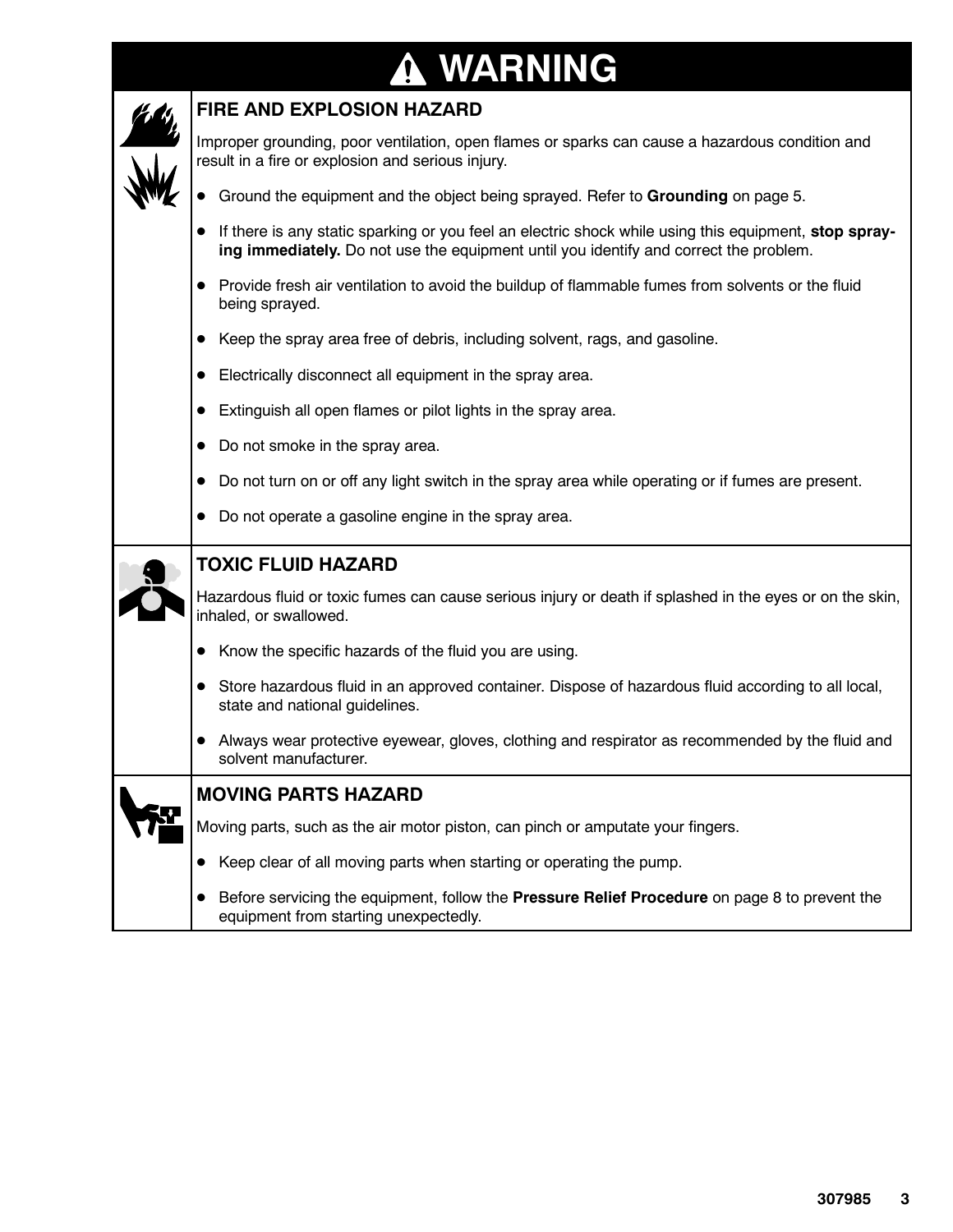# **WARNING**

| <b>FIRE AND EXPLOSION HAZARD</b>                                                                                                                                                               |  |  |  |
|------------------------------------------------------------------------------------------------------------------------------------------------------------------------------------------------|--|--|--|
| Improper grounding, poor ventilation, open flames or sparks can cause a hazardous condition and<br>result in a fire or explosion and serious injury.                                           |  |  |  |
| • Ground the equipment and the object being sprayed. Refer to Grounding on page 5.                                                                                                             |  |  |  |
| If there is any static sparking or you feel an electric shock while using this equipment, stop spray-<br>ing immediately. Do not use the equipment until you identify and correct the problem. |  |  |  |
| Provide fresh air ventilation to avoid the buildup of flammable fumes from solvents or the fluid<br>being sprayed.                                                                             |  |  |  |
| Keep the spray area free of debris, including solvent, rags, and gasoline.                                                                                                                     |  |  |  |
| Electrically disconnect all equipment in the spray area.                                                                                                                                       |  |  |  |
| Extinguish all open flames or pilot lights in the spray area.                                                                                                                                  |  |  |  |
| Do not smoke in the spray area.                                                                                                                                                                |  |  |  |
| Do not turn on or off any light switch in the spray area while operating or if fumes are present.                                                                                              |  |  |  |
|                                                                                                                                                                                                |  |  |  |
| Do not operate a gasoline engine in the spray area.                                                                                                                                            |  |  |  |
| <b>TOXIC FLUID HAZARD</b>                                                                                                                                                                      |  |  |  |
| Hazardous fluid or toxic fumes can cause serious injury or death if splashed in the eyes or on the skin,<br>inhaled, or swallowed.                                                             |  |  |  |
| Know the specific hazards of the fluid you are using.                                                                                                                                          |  |  |  |
| Store hazardous fluid in an approved container. Dispose of hazardous fluid according to all local,<br>state and national guidelines.                                                           |  |  |  |
| Always wear protective eyewear, gloves, clothing and respirator as recommended by the fluid and<br>solvent manufacturer.                                                                       |  |  |  |
| <b>MOVING PARTS HAZARD</b>                                                                                                                                                                     |  |  |  |
| Moving parts, such as the air motor piston, can pinch or amputate your fingers.                                                                                                                |  |  |  |
| Keep clear of all moving parts when starting or operating the pump.                                                                                                                            |  |  |  |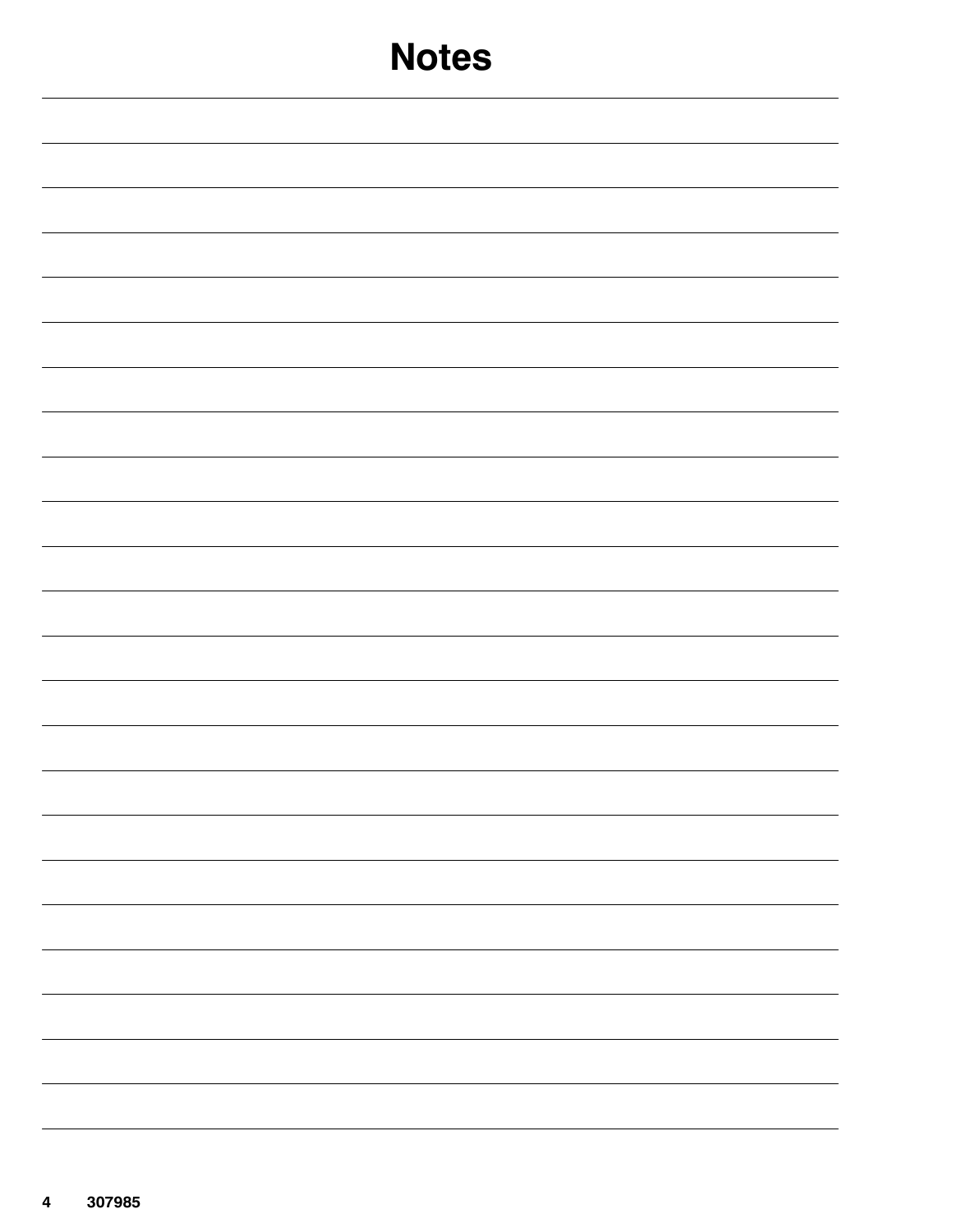| <b>Notes</b> |
|--------------|
|              |
|              |
|              |
|              |
|              |
|              |
|              |
|              |
|              |
|              |
|              |
|              |
|              |
| -            |
|              |
|              |
|              |
| -            |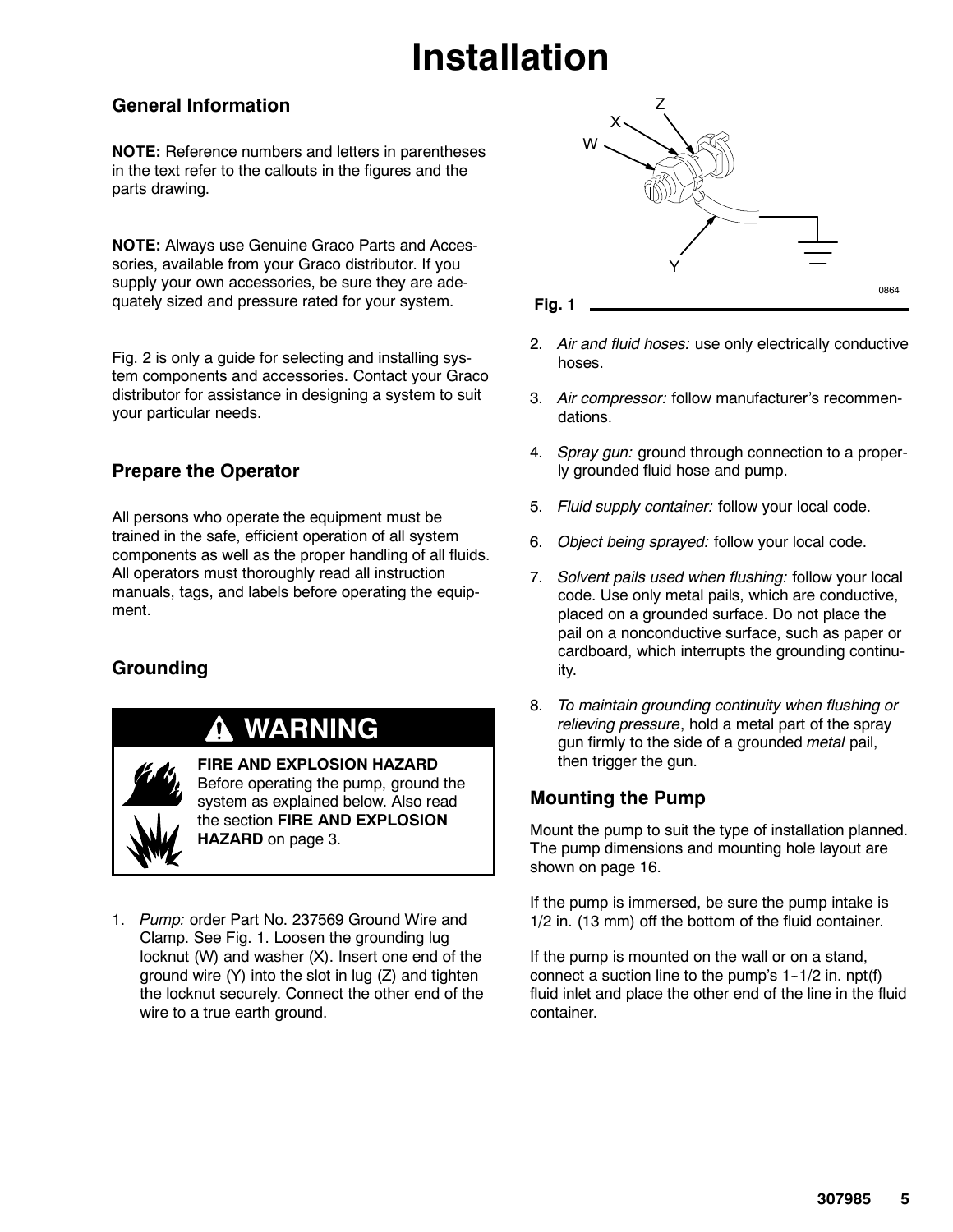# **Installation**

#### **General Information**

**NOTE:** Reference numbers and letters in parentheses in the text refer to the callouts in the figures and the parts drawing.

**NOTE:** Always use Genuine Graco Parts and Accessories, available from your Graco distributor. If you supply your own accessories, be sure they are adequately sized and pressure rated for your system.

Fig. 2 is only a guide for selecting and installing system components and accessories. Contact your Graco distributor for assistance in designing a system to suit your particular needs.

### **Prepare the Operator**

All persons who operate the equipment must be trained in the safe, efficient operation of all system components as well as the proper handling of all fluids. All operators must thoroughly read all instruction manuals, tags, and labels before operating the equipment.

### **Grounding**

### **WARNING**

**FIRE AND EXPLOSION HAZARD** Before operating the pump, ground the

system as explained below. Also read the section **FIRE AND EXPLOSION HAZARD** on page 3.

1. *Pump:* order Part No. 237569 Ground Wire and Clamp. See Fig. 1. Loosen the grounding lug locknut (W) and washer (X). Insert one end of the ground wire (Y) into the slot in lug (Z) and tighten the locknut securely. Connect the other end of the wire to a true earth ground.





- 2. *Air and fluid hoses:* use only electrically conductive hoses.
- 3. *Air compressor:* follow manufacturer's recommendations.
- 4. *Spray gun:* ground through connection to a properly grounded fluid hose and pump.
- 5. *Fluid supply container:* follow your local code.
- 6. *Object being sprayed:* follow your local code.
- 7. *Solvent pails used when flushing:* follow your local code. Use only metal pails, which are conductive, placed on a grounded surface. Do not place the pail on a nonconductive surface, such as paper or cardboard, which interrupts the grounding continuity.
- 8. *To maintain grounding continuity when flushing or relieving pressure*, hold a metal part of the spray gun firmly to the side of a grounded *metal* pail, then trigger the gun.

### **Mounting the Pump**

Mount the pump to suit the type of installation planned. The pump dimensions and mounting hole layout are shown on page 16.

If the pump is immersed, be sure the pump intake is 1/2 in. (13 mm) off the bottom of the fluid container.

If the pump is mounted on the wall or on a stand, connect a suction line to the pump's  $1-1/2$  in. npt(f) fluid inlet and place the other end of the line in the fluid container.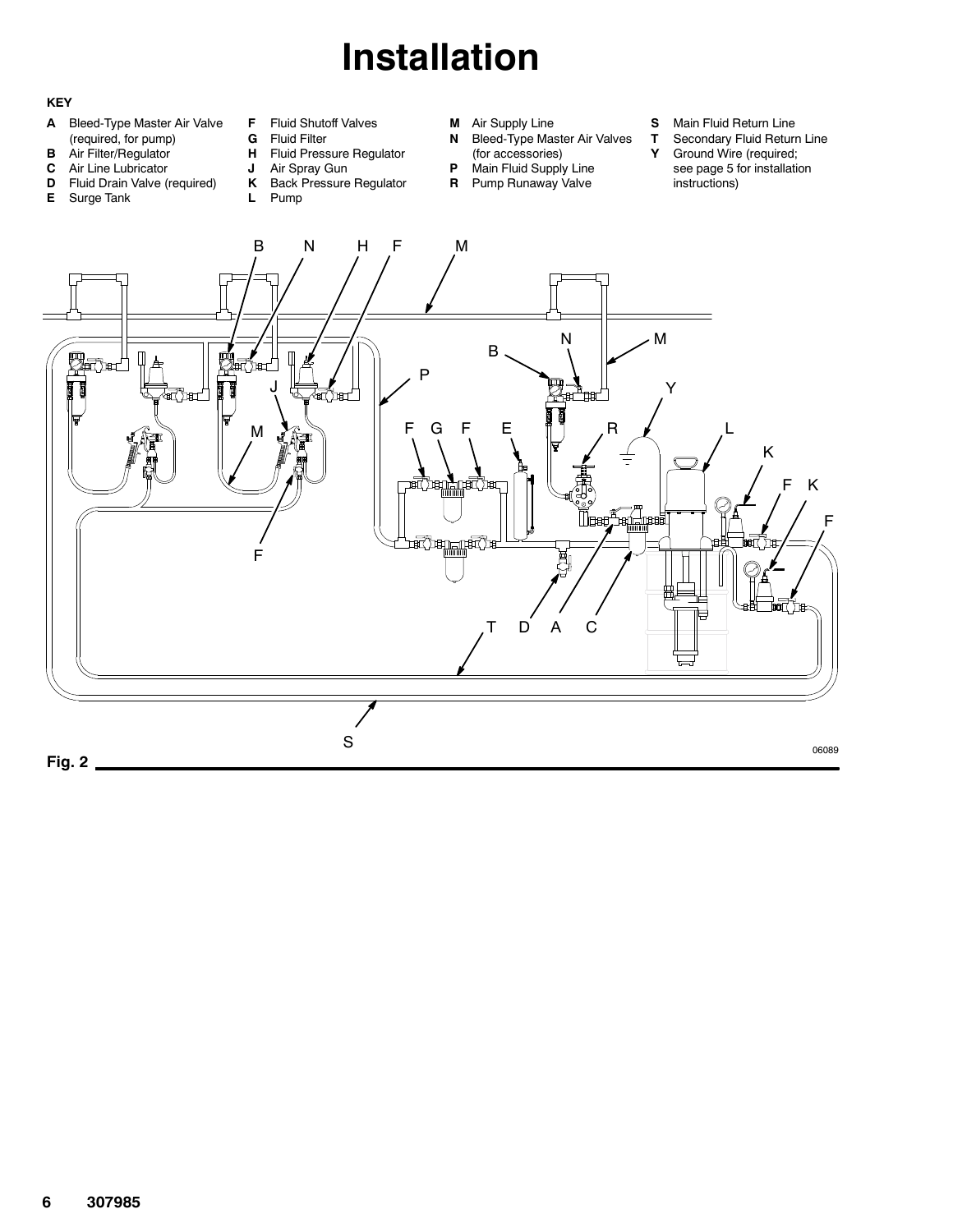# **Installation**

#### **KEY**

- **A** Bleed-Type Master Air Valve (required, for pump)
- **B** Air Filter/Regulator
- **C** Air Line Lubricator
- **D** Fluid Drain Valve (required)
- **E** Surge Tank
- **F** Fluid Shutoff Valves
	- **G** Fluid Filter<br>**H** Fluid Press **Fluid Pressure Regulator**
	- **J** Air Spray Gun
	- **K** Back Pressure Regulator
	- **L** Pump
- **M** Air Supply Line
- **N** Bleed-Type Master Air Valves
- (for accessories) **P** Main Fluid Supply Line
- **R** Pump Runaway Valve
- **S** Main Fluid Return Line
- **T** Secondary Fluid Return Line<br>**Y** Ground Wire (required;
	- **Y** Ground Wire (required; see page 5 for installation instructions)

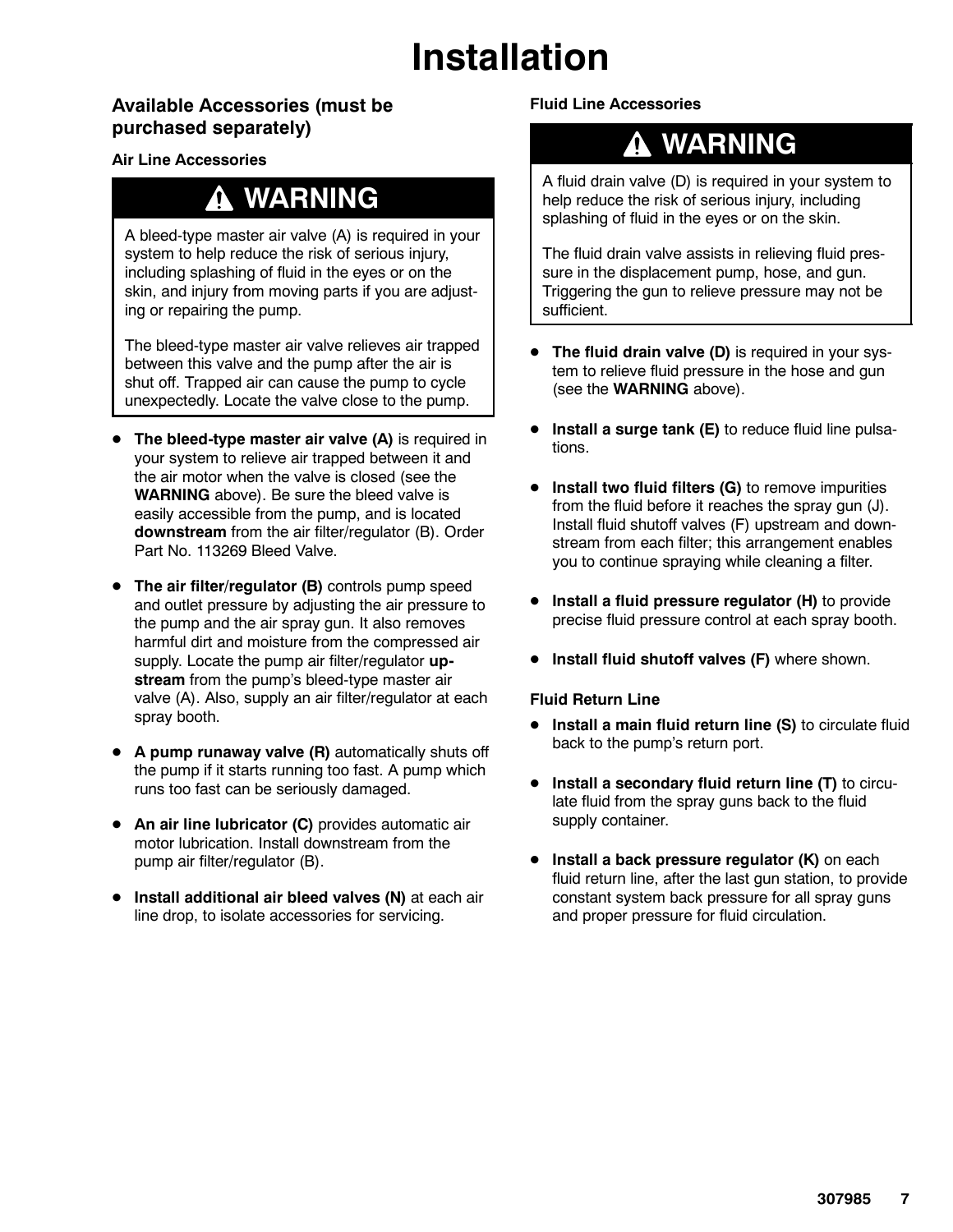# **Installation**

#### **Available Accessories (must be purchased separately)**

#### **Air Line Accessories**

### **WARNING**

A bleed-type master air valve (A) is required in your system to help reduce the risk of serious injury, including splashing of fluid in the eyes or on the skin, and injury from moving parts if you are adjusting or repairing the pump.

The bleed-type master air valve relieves air trapped between this valve and the pump after the air is shut off. Trapped air can cause the pump to cycle unexpectedly. Locate the valve close to the pump.

- **The bleed-type master air valve (A)** is required in your system to relieve air trapped between it and the air motor when the valve is closed (see the **WARNING** above). Be sure the bleed valve is easily accessible from the pump, and is located **downstream** from the air filter/regulator (B). Order Part No. 113269 Bleed Valve.
- **The air filter/regulator (B)** controls pump speed and outlet pressure by adjusting the air pressure to the pump and the air spray gun. It also removes harmful dirt and moisture from the compressed air supply. Locate the pump air filter/regulator **upstream** from the pump's bleed-type master air valve (A). Also, supply an air filter/regulator at each spray booth.
- **A pump runaway valve (R)** automatically shuts off the pump if it starts running too fast. A pump which runs too fast can be seriously damaged.
- An air line lubricator (C) provides automatic air motor lubrication. Install downstream from the pump air filter/regulator (B).
- **•** Install additional air bleed valves (N) at each air line drop, to isolate accessories for servicing.

#### **Fluid Line Accessories**

### **WARNING**

A fluid drain valve (D) is required in your system to help reduce the risk of serious injury, including splashing of fluid in the eyes or on the skin.

The fluid drain valve assists in relieving fluid pressure in the displacement pump, hose, and gun. Triggering the gun to relieve pressure may not be sufficient.

- **The fluid drain valve (D)** is required in your system to relieve fluid pressure in the hose and gun (see the **WARNING** above).
- **Install a surge tank (E)** to reduce fluid line pulsations.
- **•** Install two fluid filters (G) to remove impurities from the fluid before it reaches the spray gun (J). Install fluid shutoff valves (F) upstream and downstream from each filter; this arrangement enables you to continue spraying while cleaning a filter.
- **Install a fluid pressure regulator (H)** to provide precise fluid pressure control at each spray booth.
- **•** Install fluid shutoff valves (F) where shown.

#### **Fluid Return Line**

- **Install a main fluid return line (S)** to circulate fluid back to the pump's return port.
- **•** Install a secondary fluid return line (T) to circulate fluid from the spray guns back to the fluid supply container.
- **Install a back pressure regulator (K)** on each fluid return line, after the last gun station, to provide constant system back pressure for all spray guns and proper pressure for fluid circulation.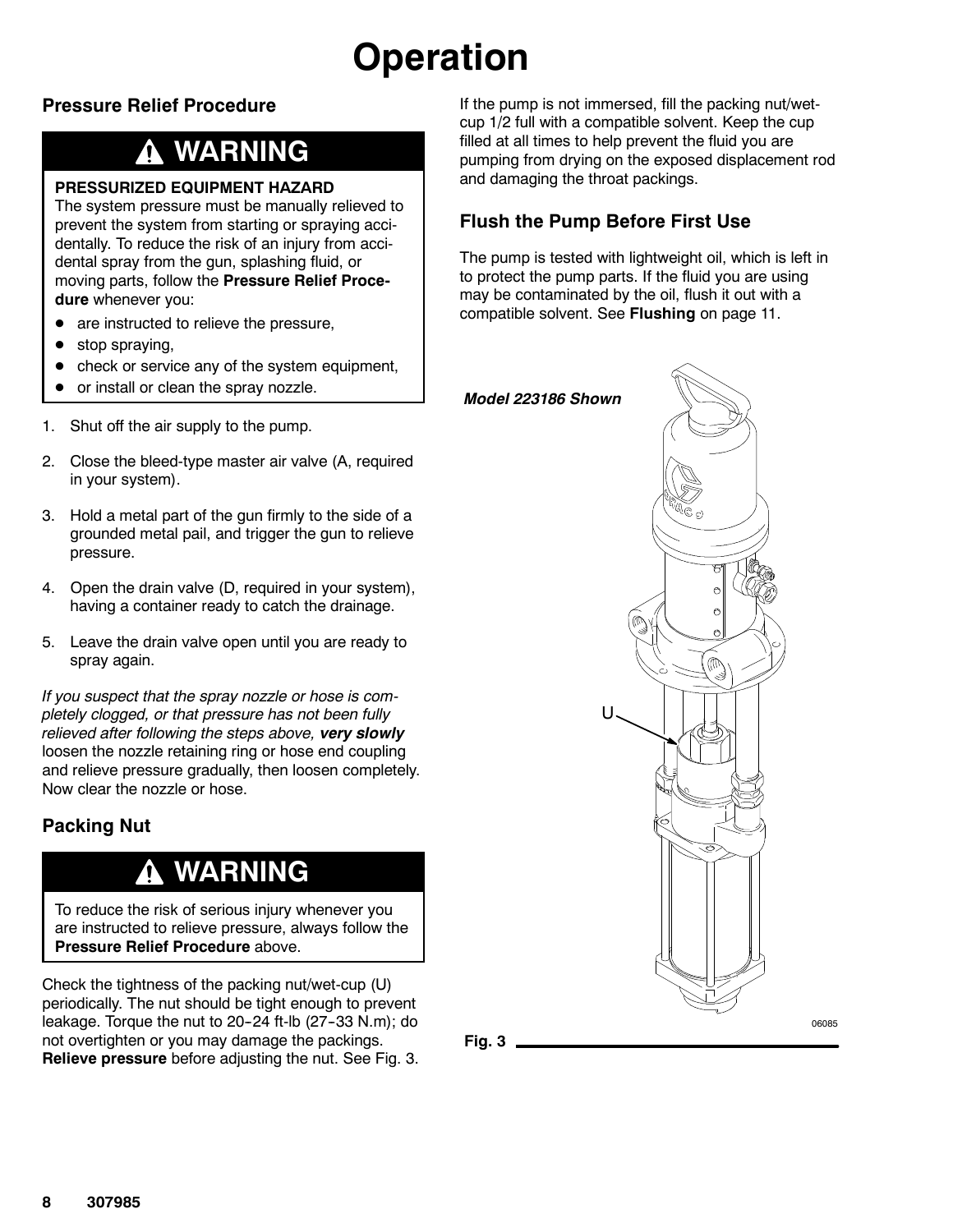# **Operation**

### **Pressure Relief Procedure**

### **WARNING**

#### **PRESSURIZED EQUIPMENT HAZARD**

The system pressure must be manually relieved to prevent the system from starting or spraying accidentally. To reduce the risk of an injury from accidental spray from the gun, splashing fluid, or moving parts, follow the **Pressure Relief Procedure** whenever you:

- are instructed to relieve the pressure,
- stop spraying,
- check or service any of the system equipment,
- or install or clean the spray nozzle.
- 1. Shut off the air supply to the pump.
- 2. Close the bleed-type master air valve (A, required in your system).
- 3. Hold a metal part of the gun firmly to the side of a grounded metal pail, and trigger the gun to relieve pressure.
- 4. Open the drain valve (D, required in your system), having a container ready to catch the drainage.
- 5. Leave the drain valve open until you are ready to spray again.

*If you suspect that the spray nozzle or hose is completely clogged, or that pressure has not been fully relieved after following the steps above, very slowly* loosen the nozzle retaining ring or hose end coupling and relieve pressure gradually, then loosen completely. Now clear the nozzle or hose.

### **Packing Nut**

### **WARNING**

To reduce the risk of serious injury whenever you are instructed to relieve pressure, always follow the **Pressure Relief Procedure** above.

Check the tightness of the packing nut/wet-cup (U) periodically. The nut should be tight enough to prevent leakage. Torque the nut to  $20-24$  ft-lb  $(27-33 \text{ N.m})$ ; do not overtighten or you may damage the packings. **Relieve pressure** before adjusting the nut. See Fig. 3.

If the pump is not immersed, fill the packing nut/wetcup 1/2 full with a compatible solvent. Keep the cup filled at all times to help prevent the fluid you are pumping from drying on the exposed displacement rod and damaging the throat packings.

### **Flush the Pump Before First Use**

The pump is tested with lightweight oil, which is left in to protect the pump parts. If the fluid you are using may be contaminated by the oil, flush it out with a compatible solvent. See **Flushing** on page 11.



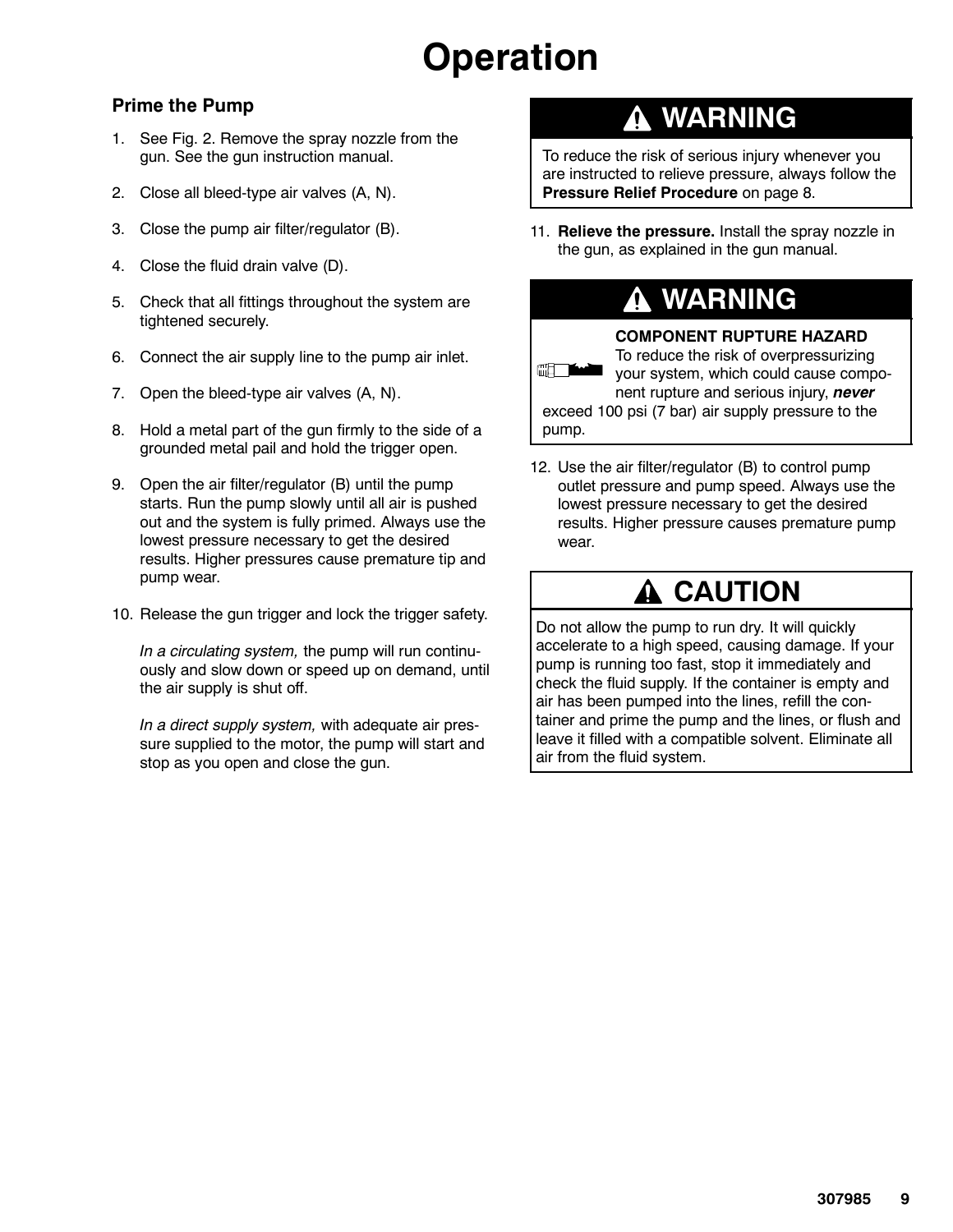# **Operation**

#### **Prime the Pump**

- 1. See Fig. 2. Remove the spray nozzle from the gun. See the gun instruction manual.
- 2. Close all bleed-type air valves (A, N).
- 3. Close the pump air filter/regulator (B).
- 4. Close the fluid drain valve (D).
- 5. Check that all fittings throughout the system are tightened securely.
- 6. Connect the air supply line to the pump air inlet.
- 7. Open the bleed-type air valves (A, N).
- 8. Hold a metal part of the gun firmly to the side of a grounded metal pail and hold the trigger open.
- 9. Open the air filter/regulator (B) until the pump starts. Run the pump slowly until all air is pushed out and the system is fully primed. Always use the lowest pressure necessary to get the desired results. Higher pressures cause premature tip and pump wear.
- 10. Release the gun trigger and lock the trigger safety.

*In a circulating system,* the pump will run continuously and slow down or speed up on demand, until the air supply is shut off.

*In a direct supply system,* with adequate air pressure supplied to the motor, the pump will start and stop as you open and close the gun.

### **WARNING**

To reduce the risk of serious injury whenever you are instructed to relieve pressure, always follow the **Pressure Relief Procedure** on page 8.

11. **Relieve the pressure.** Install the spray nozzle in the gun, as explained in the gun manual.

### **WARNING**

**COMPONENT RUPTURE HAZARD** To reduce the risk of overpressurizing **ERTY AND** your system, which could cause component rupture and serious injury, *never* exceed 100 psi (7 bar) air supply pressure to the pump.

12. Use the air filter/regulator (B) to control pump outlet pressure and pump speed. Always use the lowest pressure necessary to get the desired results. Higher pressure causes premature pump wear.

### **CAUTION**

Do not allow the pump to run dry. It will quickly accelerate to a high speed, causing damage. If your pump is running too fast, stop it immediately and check the fluid supply. If the container is empty and air has been pumped into the lines, refill the container and prime the pump and the lines, or flush and leave it filled with a compatible solvent. Eliminate all air from the fluid system.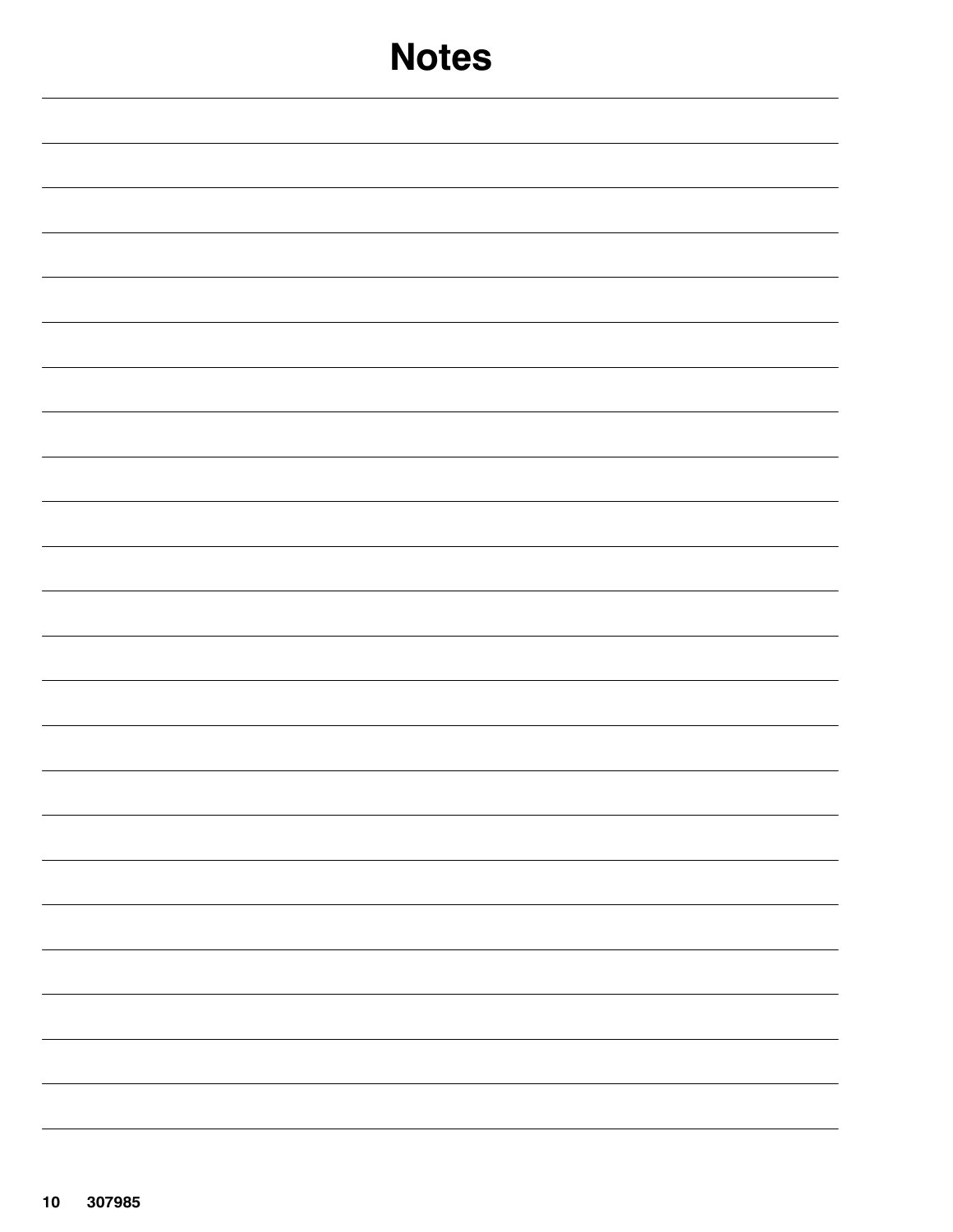| <b>Notes</b>                  |
|-------------------------------|
|                               |
|                               |
|                               |
|                               |
|                               |
|                               |
|                               |
|                               |
|                               |
|                               |
|                               |
|                               |
| -<br>$\overline{\phantom{0}}$ |
|                               |
|                               |
|                               |
| $\overline{\phantom{0}}$      |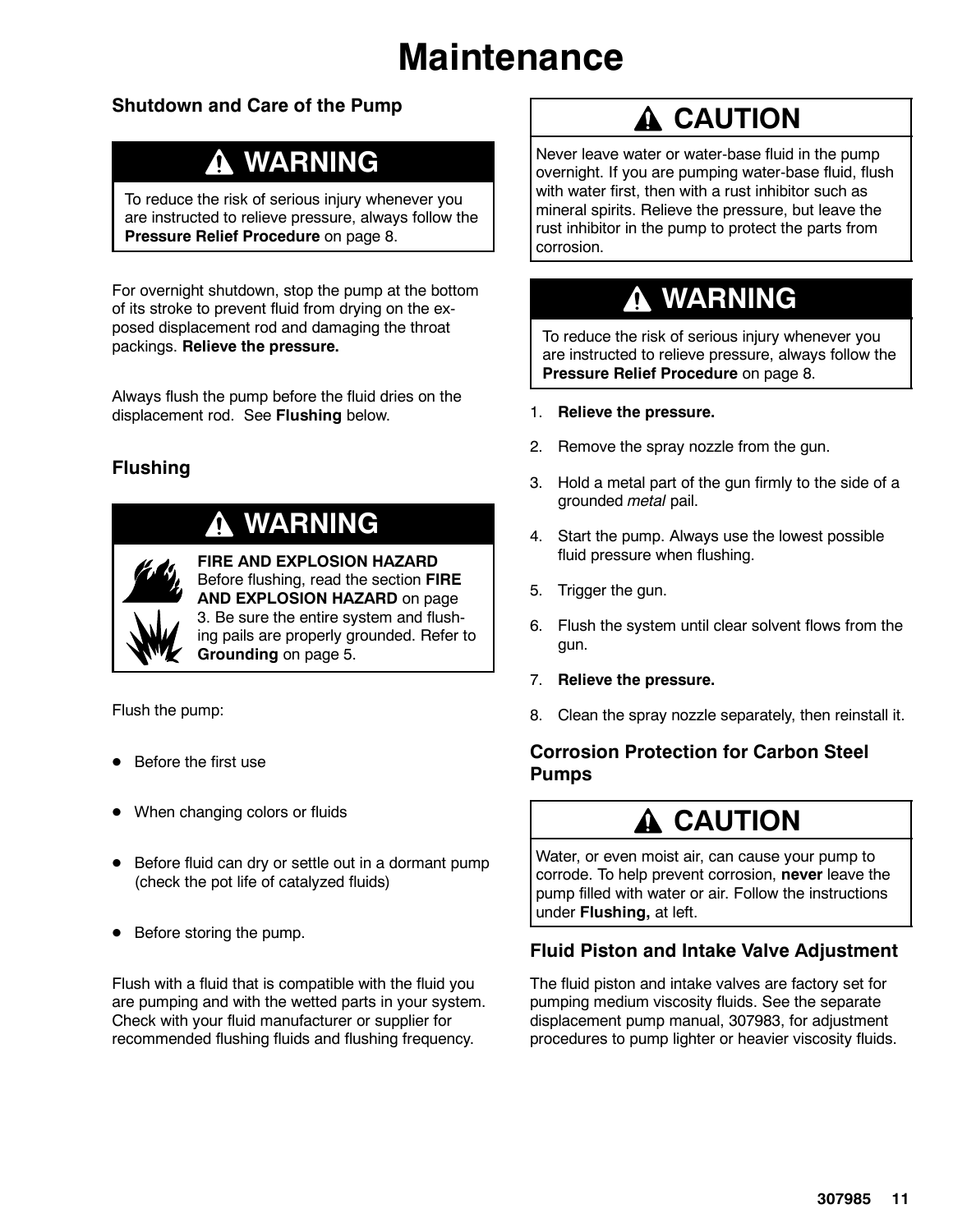# **Maintenance**

### **Shutdown and Care of the Pump**

### **WARNING**

To reduce the risk of serious injury whenever you are instructed to relieve pressure, always follow the **Pressure Relief Procedure** on page 8.

For overnight shutdown, stop the pump at the bottom of its stroke to prevent fluid from drying on the exposed displacement rod and damaging the throat packings. **Relieve the pressure.**

Always flush the pump before the fluid dries on the displacement rod. See **Flushing** below.

### **Flushing**

### **WARNING**



**FIRE AND EXPLOSION HAZARD** Before flushing, read the section **FIRE AND EXPLOSION HAZARD** on page 3. Be sure the entire system and flushing pails are properly grounded. Refer to **Grounding** on page 5.

Flush the pump:

- Before the first use
- When changing colors or fluids
- Before fluid can dry or settle out in a dormant pump (check the pot life of catalyzed fluids)
- Before storing the pump.

Flush with a fluid that is compatible with the fluid you are pumping and with the wetted parts in your system. Check with your fluid manufacturer or supplier for recommended flushing fluids and flushing frequency.

### **A CAUTION**

Never leave water or water-base fluid in the pump overnight. If you are pumping water-base fluid, flush with water first, then with a rust inhibitor such as mineral spirits. Relieve the pressure, but leave the rust inhibitor in the pump to protect the parts from corrosion.

### **WARNING**

To reduce the risk of serious injury whenever you are instructed to relieve pressure, always follow the **Pressure Relief Procedure** on page 8.

- 1. **Relieve the pressure.**
- 2. Remove the spray nozzle from the gun.
- 3. Hold a metal part of the gun firmly to the side of a grounded *metal* pail.
- 4. Start the pump. Always use the lowest possible fluid pressure when flushing.
- 5. Trigger the gun.
- 6. Flush the system until clear solvent flows from the gun.
- 7. **Relieve the pressure.**
- 8. Clean the spray nozzle separately, then reinstall it.

#### **Corrosion Protection for Carbon Steel Pumps**

### **CAUTION**

Water, or even moist air, can cause your pump to corrode. To help prevent corrosion, **never** leave the pump filled with water or air. Follow the instructions under **Flushing,** at left.

#### **Fluid Piston and Intake Valve Adjustment**

The fluid piston and intake valves are factory set for pumping medium viscosity fluids. See the separate displacement pump manual, 307983, for adjustment procedures to pump lighter or heavier viscosity fluids.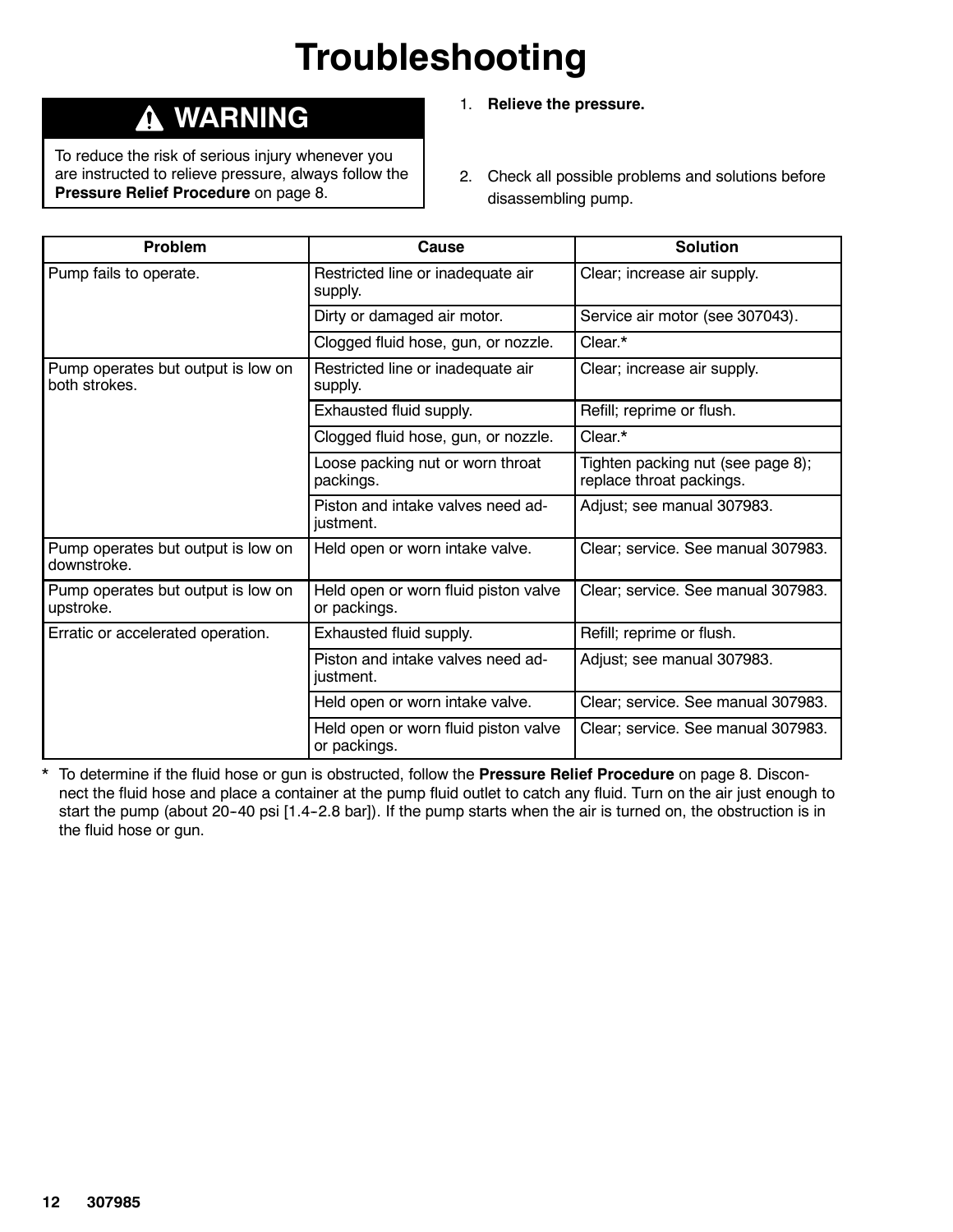# **Troubleshooting**

### **WARNING**

To reduce the risk of serious injury whenever you are instructed to relieve pressure, always follow the **Pressure Relief Procedure** on page 8.

- 1. **Relieve the pressure.**
- 2. Check all possible problems and solutions before disassembling pump.

| <b>Problem</b>                                      | Cause                                                | <b>Solution</b>                                               |
|-----------------------------------------------------|------------------------------------------------------|---------------------------------------------------------------|
| Pump fails to operate.                              | Restricted line or inadequate air<br>supply.         | Clear; increase air supply.                                   |
|                                                     | Dirty or damaged air motor.                          | Service air motor (see 307043).                               |
|                                                     | Clogged fluid hose, gun, or nozzle.                  | Clear.*                                                       |
| Pump operates but output is low on<br>both strokes. | Restricted line or inadequate air<br>supply.         | Clear; increase air supply.                                   |
|                                                     | Exhausted fluid supply.                              | Refill; reprime or flush.                                     |
|                                                     | Clogged fluid hose, gun, or nozzle.                  | Clear.*                                                       |
|                                                     | Loose packing nut or worn throat<br>packings.        | Tighten packing nut (see page 8);<br>replace throat packings. |
|                                                     | Piston and intake valves need ad-<br>justment.       | Adjust; see manual 307983.                                    |
| Pump operates but output is low on<br>downstroke.   | Held open or worn intake valve.                      | Clear; service. See manual 307983.                            |
| Pump operates but output is low on<br>upstroke.     | Held open or worn fluid piston valve<br>or packings. | Clear; service. See manual 307983.                            |
| Erratic or accelerated operation.                   | Exhausted fluid supply.                              | Refill; reprime or flush.                                     |
|                                                     | Piston and intake valves need ad-<br>justment.       | Adjust; see manual 307983.                                    |
|                                                     | Held open or worn intake valve.                      | Clear; service. See manual 307983.                            |
|                                                     | Held open or worn fluid piston valve<br>or packings. | Clear; service. See manual 307983.                            |

\* To determine if the fluid hose or gun is obstructed, follow the **Pressure Relief Procedure** on page 8. Disconnect the fluid hose and place a container at the pump fluid outlet to catch any fluid. Turn on the air just enough to start the pump (about 20-40 psi [1.4-2.8 bar]). If the pump starts when the air is turned on, the obstruction is in the fluid hose or gun.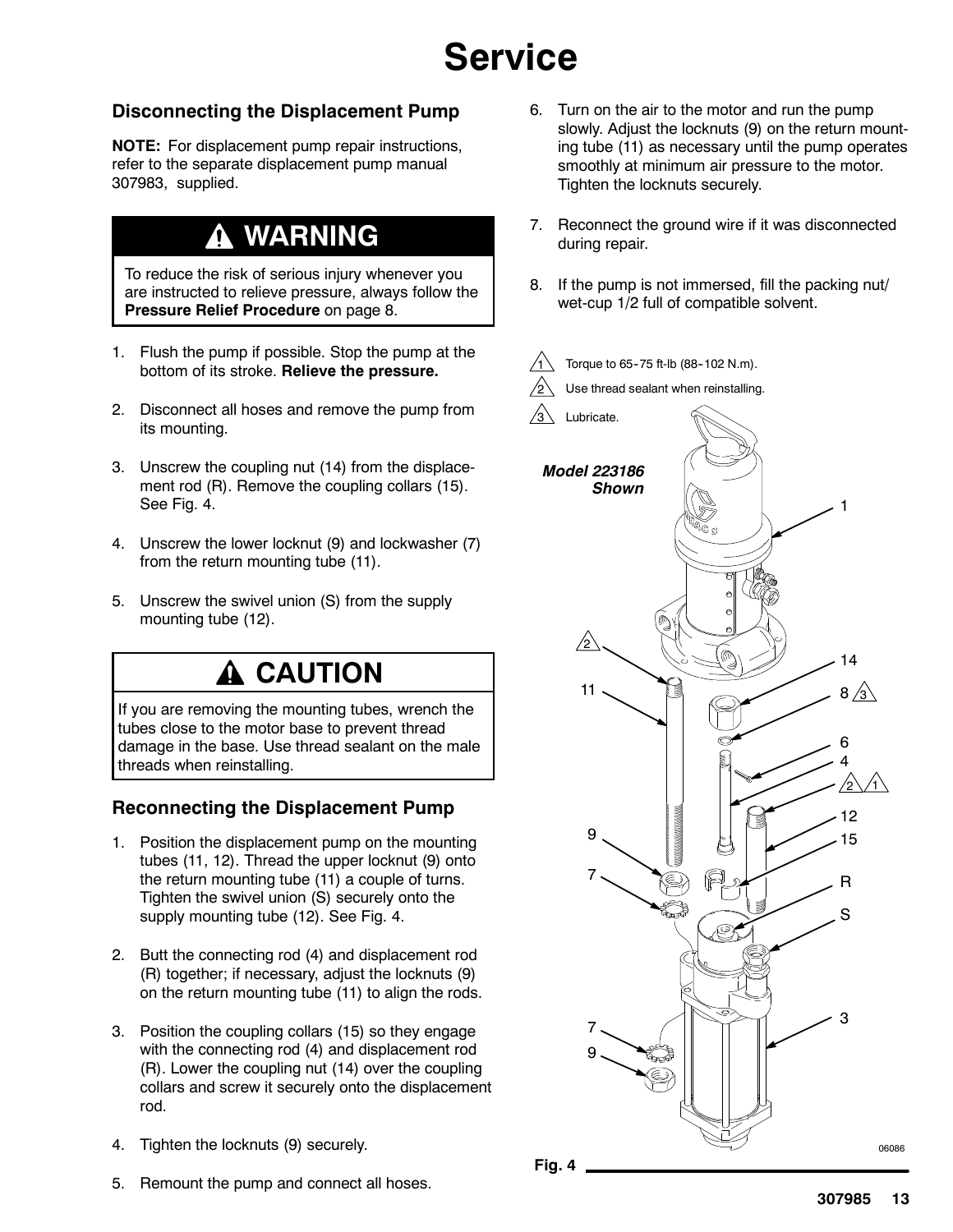# **Service**

#### **Disconnecting the Displacement Pump**

**NOTE:** For displacement pump repair instructions, refer to the separate displacement pump manual 307983, supplied.

### **WARNING**

To reduce the risk of serious injury whenever you are instructed to relieve pressure, always follow the **Pressure Relief Procedure** on page 8.

- 1. Flush the pump if possible. Stop the pump at the bottom of its stroke. **Relieve the pressure.**
- 2. Disconnect all hoses and remove the pump from its mounting.
- 3. Unscrew the coupling nut (14) from the displacement rod (R). Remove the coupling collars (15). See Fig. 4.
- 4. Unscrew the lower locknut (9) and lockwasher (7) from the return mounting tube (11).
- 5. Unscrew the swivel union (S) from the supply mounting tube (12).

### **A CAUTION**

If you are removing the mounting tubes, wrench the tubes close to the motor base to prevent thread damage in the base. Use thread sealant on the male threads when reinstalling.

#### **Reconnecting the Displacement Pump**

- 1. Position the displacement pump on the mounting tubes (11, 12). Thread the upper locknut (9) onto the return mounting tube (11) a couple of turns. Tighten the swivel union (S) securely onto the supply mounting tube (12). See Fig. 4.
- 2. Butt the connecting rod (4) and displacement rod (R) together; if necessary, adjust the locknuts (9) on the return mounting tube (11) to align the rods.
- 3. Position the coupling collars (15) so they engage with the connecting rod (4) and displacement rod (R). Lower the coupling nut (14) over the coupling collars and screw it securely onto the displacement rod.
- 4. Tighten the locknuts (9) securely.
- 5. Remount the pump and connect all hoses.
- 6. Turn on the air to the motor and run the pump slowly. Adjust the locknuts (9) on the return mounting tube (11) as necessary until the pump operates smoothly at minimum air pressure to the motor. Tighten the locknuts securely.
- 7. Reconnect the ground wire if it was disconnected during repair.
- 8. If the pump is not immersed, fill the packing nut/ wet-cup 1/2 full of compatible solvent.



**307985 13**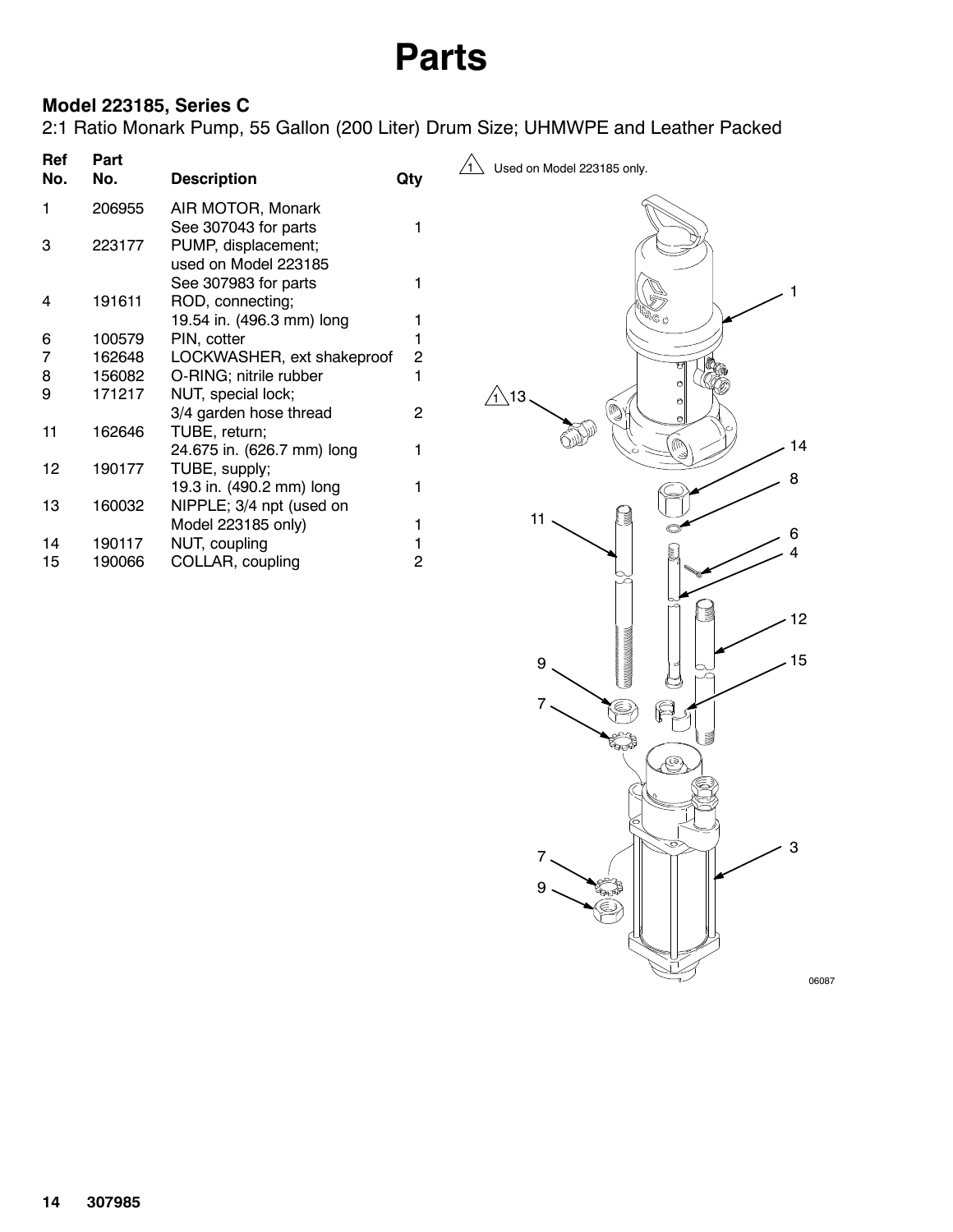## **Parts**

### **Model 223185, Series C**

2:1 Ratio Monark Pump, 55 Gallon (200 Liter) Drum Size; UHMWPE and Leather Packed

| Part<br>No. | <b>Description</b>         | Qty                       |
|-------------|----------------------------|---------------------------|
| 206955      | AIR MOTOR, Monark          |                           |
|             | See 307043 for parts       | 1                         |
| 223177      | PUMP, displacement;        |                           |
|             | used on Model 223185       |                           |
|             | See 307983 for parts       | 1                         |
| 191611      | ROD, connecting;           |                           |
|             |                            | 1                         |
| 100579      | PIN, cotter                | 1                         |
| 162648      | LOCKWASHER, ext shakeproof | 2                         |
| 156082      | O-RING; nitrile rubber     | 1                         |
| 171217      | NUT, special lock;         |                           |
|             | 3/4 garden hose thread     | 2                         |
| 162646      | TUBE, return;              |                           |
|             | 24.675 in. (626.7 mm) long | 1                         |
| 190177      | TUBE, supply;              |                           |
|             | 19.3 in. (490.2 mm) long   | 1                         |
| 160032      | NIPPLE; 3/4 npt (used on   |                           |
|             | Model 223185 only)         | 1                         |
| 190117      | NUT, coupling              | 1                         |
| 190066      | COLLAR, coupling           | 2                         |
|             |                            | 19.54 in. (496.3 mm) long |

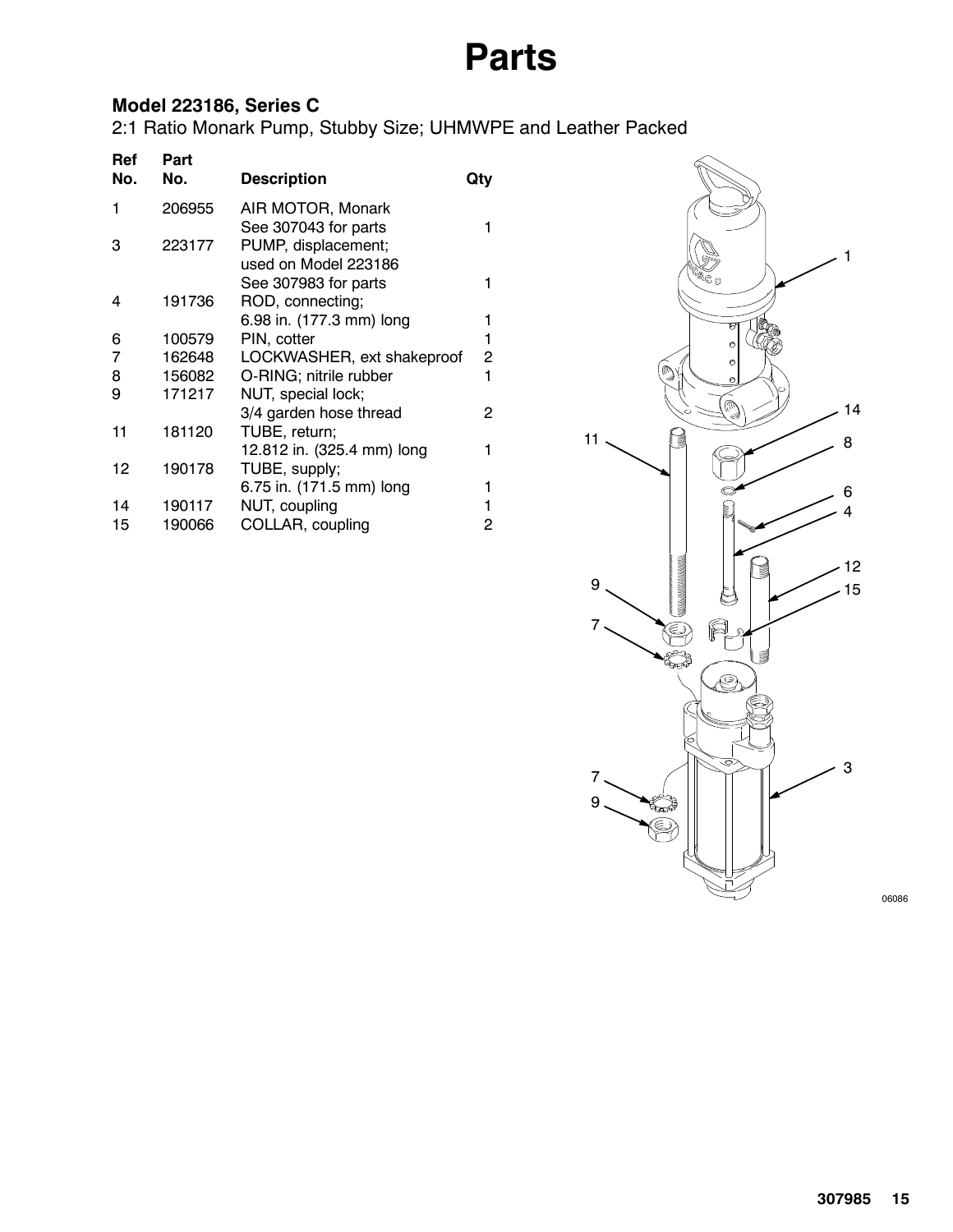# **Parts**

### **Model 223186, Series C**

2:1 Ratio Monark Pump, Stubby Size; UHMWPE and Leather Packed

| Ref<br>No. | Part<br>No. | <b>Description</b>         | Qty            |
|------------|-------------|----------------------------|----------------|
| 1          | 206955      | AIR MOTOR, Monark          |                |
|            |             | See 307043 for parts       | 1              |
| з          | 223177      | PUMP, displacement;        |                |
|            |             | used on Model 223186       |                |
|            |             | See 307983 for parts       | 1              |
| 4          | 191736      | ROD, connecting;           |                |
|            |             | 6.98 in. (177.3 mm) long   | 1              |
| 6          | 100579      | PIN, cotter                | 1              |
| 7          | 162648      | LOCKWASHER, ext shakeproof | $\overline{c}$ |
| 8          | 156082      | O-RING; nitrile rubber     | 1              |
| 9          | 171217      | NUT, special lock;         |                |
|            |             | 3/4 garden hose thread     | 2              |
| 11         | 181120      | TUBE, return;              |                |
|            |             | 12.812 in. (325.4 mm) long | 1              |
| 12         | 190178      | TUBE, supply;              |                |
|            |             | 6.75 in. (171.5 mm) long   | 1              |
| 14         | 190117      | NUT, coupling              |                |
| 15         | 190066      | COLLAR, coupling           | 2              |
|            |             |                            |                |



06086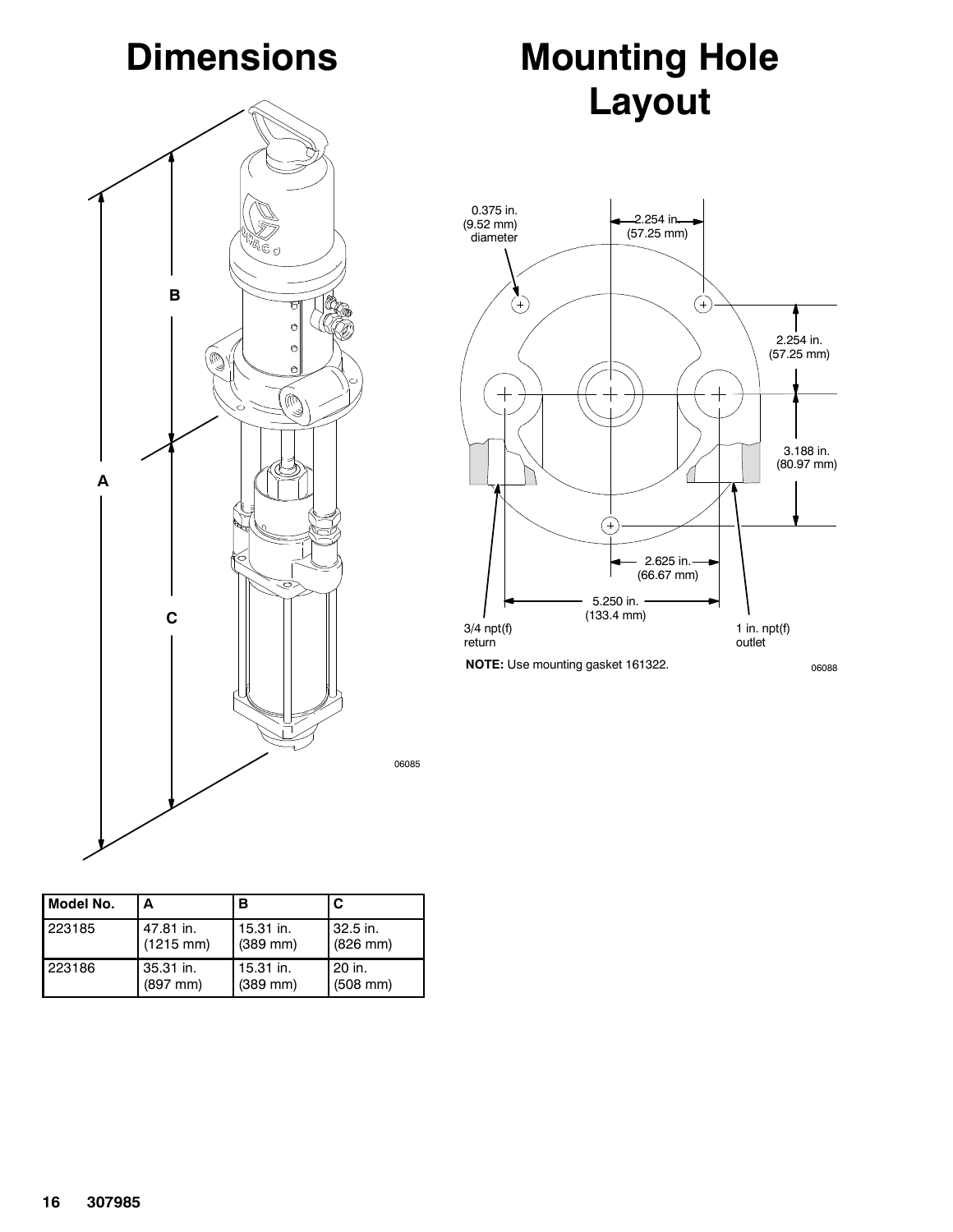# **Dimensions**



# **Mounting Hole Layout**



06085

| Model No. | А                   | в          | C                    |
|-----------|---------------------|------------|----------------------|
| 223185    | 47.81 in.           | 15.31 in.  | 32.5 in.             |
|           | $(1215 \text{ mm})$ | $(389$ mm) | $(826 \, \text{mm})$ |
| 223186    | 35.31 in.           | 15.31 in.  | 20 in.               |
|           | $(897$ mm $)$       | $(389$ mm) | $(508$ mm $)$        |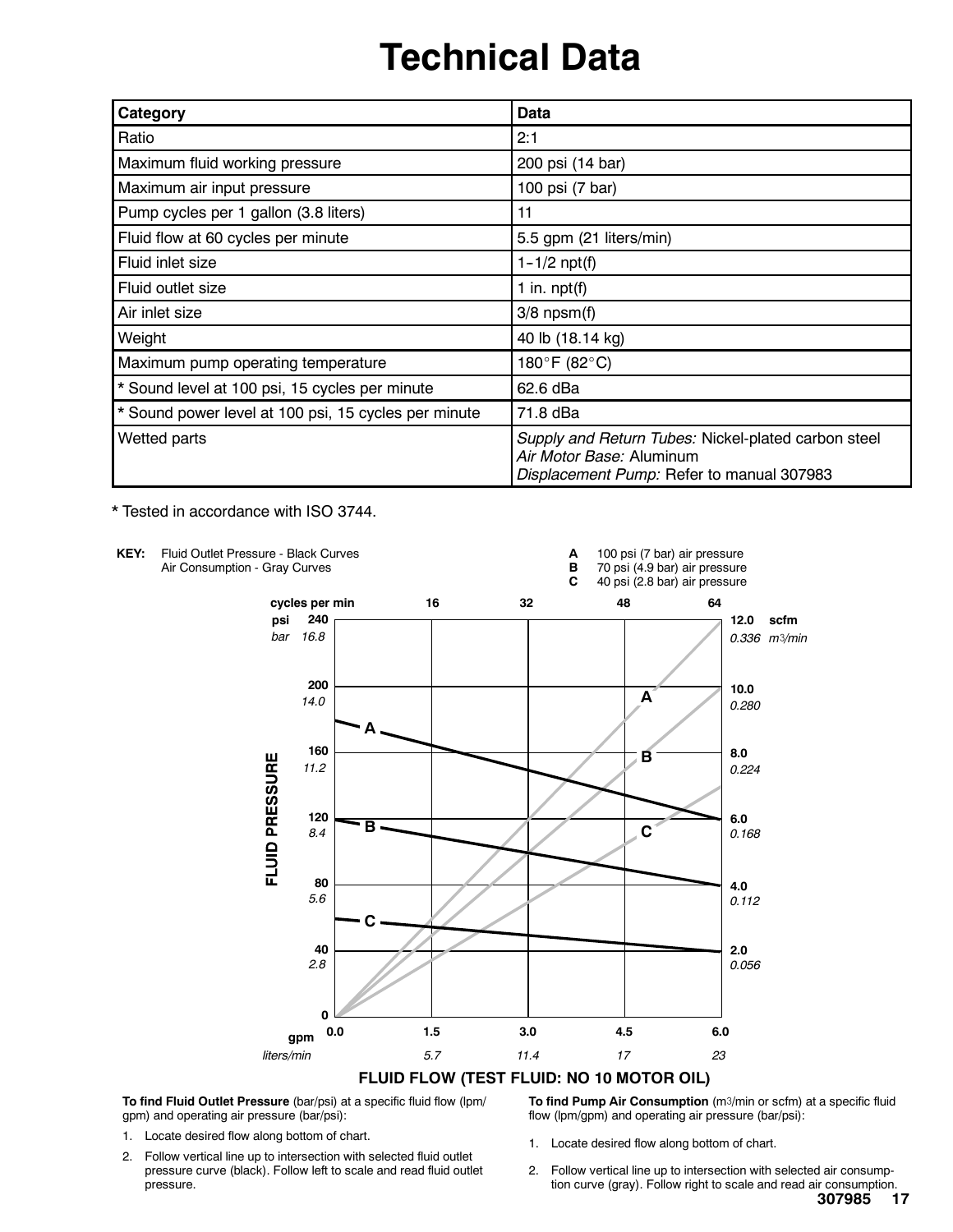# **Technical Data**

| Category                                             | Data                                                                                                                         |
|------------------------------------------------------|------------------------------------------------------------------------------------------------------------------------------|
| Ratio                                                | 2:1                                                                                                                          |
| Maximum fluid working pressure                       | 200 psi (14 bar)                                                                                                             |
| Maximum air input pressure                           | 100 psi (7 bar)                                                                                                              |
| Pump cycles per 1 gallon (3.8 liters)                | 11                                                                                                                           |
| Fluid flow at 60 cycles per minute                   | 5.5 gpm (21 liters/min)                                                                                                      |
| Fluid inlet size                                     | $1 - 1/2$ npt(f)                                                                                                             |
| Fluid outlet size                                    | 1 in. $npt(f)$                                                                                                               |
| Air inlet size                                       | $3/8$ npsm $(f)$                                                                                                             |
| Weight                                               | 40 lb (18.14 kg)                                                                                                             |
| Maximum pump operating temperature                   | 180°F (82°C)                                                                                                                 |
| * Sound level at 100 psi, 15 cycles per minute       | 62.6 dBa                                                                                                                     |
| * Sound power level at 100 psi, 15 cycles per minute | 71.8 dBa                                                                                                                     |
| Wetted parts                                         | Supply and Return Tubes: Nickel-plated carbon steel<br>Air Motor Base: Aluminum<br>Displacement Pump: Refer to manual 307983 |

\* Tested in accordance with ISO 3744.



**To find Fluid Outlet Pressure** (bar/psi) at a specific fluid flow (lpm/ gpm) and operating air pressure (bar/psi):

- 1. Locate desired flow along bottom of chart.
- 2. Follow vertical line up to intersection with selected fluid outlet pressure curve (black). Follow left to scale and read fluid outlet pressure.

**To find Pump Air Consumption** (m3/min or scfm) at a specific fluid flow (lpm/gpm) and operating air pressure (bar/psi):

- 1. Locate desired flow along bottom of chart.
- 2. Follow vertical line up to intersection with selected air consumption curve (gray). Follow right to scale and read air consumption.